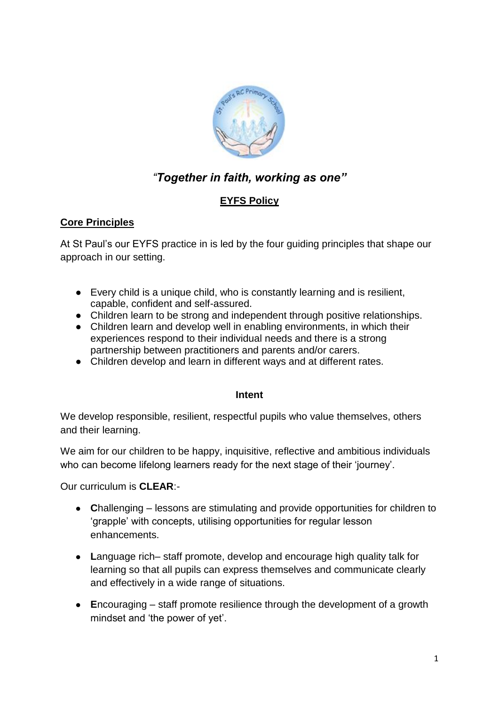

# *"Together in faith, working as one"*

## **EYFS Policy**

## **Core Principles**

At St Paul's our EYFS practice in is led by the four guiding principles that shape our approach in our setting.

- Every child is a unique child, who is constantly learning and is resilient, capable, confident and self-assured.
- Children learn to be strong and independent through positive relationships.
- Children learn and develop well in enabling environments, in which their experiences respond to their individual needs and there is a strong partnership between practitioners and parents and/or carers.
- Children develop and learn in different ways and at different rates.

#### **Intent**

We develop responsible, resilient, respectful pupils who value themselves, others and their learning.

We aim for our children to be happy, inquisitive, reflective and ambitious individuals who can become lifelong learners ready for the next stage of their 'journey'.

Our curriculum is **CLEAR**:-

- **C**hallenging lessons are stimulating and provide opportunities for children to 'grapple' with concepts, utilising opportunities for regular lesson enhancements.
- **L**anguage rich– staff promote, develop and encourage high quality talk for learning so that all pupils can express themselves and communicate clearly and effectively in a wide range of situations.
- **E**ncouraging staff promote resilience through the development of a growth mindset and 'the power of yet'.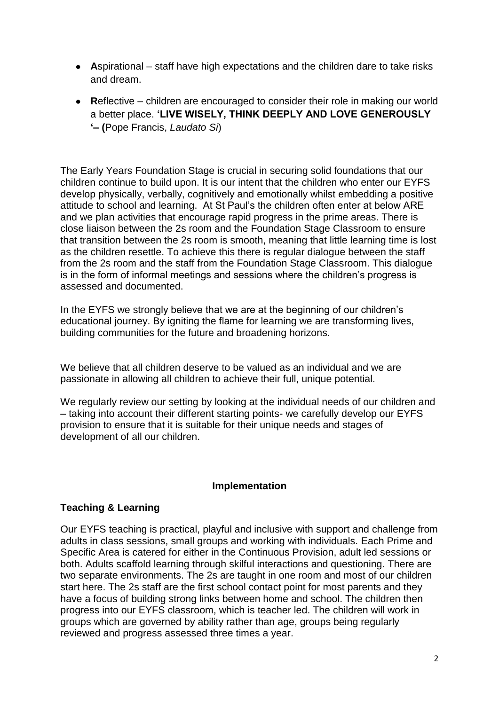- **A**spirational staff have high expectations and the children dare to take risks and dream.
- **Reflective** children are encouraged to consider their role in making our world a better place. **'LIVE WISELY, THINK DEEPLY AND LOVE GENEROUSLY '– (**Pope Francis, *Laudato Si*)

The Early Years Foundation Stage is crucial in securing solid foundations that our children continue to build upon. It is our intent that the children who enter our EYFS develop physically, verbally, cognitively and emotionally whilst embedding a positive attitude to school and learning. At St Paul's the children often enter at below ARE and we plan activities that encourage rapid progress in the prime areas. There is close liaison between the 2s room and the Foundation Stage Classroom to ensure that transition between the 2s room is smooth, meaning that little learning time is lost as the children resettle. To achieve this there is regular dialogue between the staff from the 2s room and the staff from the Foundation Stage Classroom. This dialogue is in the form of informal meetings and sessions where the children's progress is assessed and documented.

In the EYFS we strongly believe that we are at the beginning of our children's educational journey. By igniting the flame for learning we are transforming lives, building communities for the future and broadening horizons.

We believe that all children deserve to be valued as an individual and we are passionate in allowing all children to achieve their full, unique potential.

We regularly review our setting by looking at the individual needs of our children and – taking into account their different starting points- we carefully develop our EYFS provision to ensure that it is suitable for their unique needs and stages of development of all our children.

#### **Implementation**

#### **Teaching & Learning**

Our EYFS teaching is practical, playful and inclusive with support and challenge from adults in class sessions, small groups and working with individuals. Each Prime and Specific Area is catered for either in the Continuous Provision, adult led sessions or both. Adults scaffold learning through skilful interactions and questioning. There are two separate environments. The 2s are taught in one room and most of our children start here. The 2s staff are the first school contact point for most parents and they have a focus of building strong links between home and school. The children then progress into our EYFS classroom, which is teacher led. The children will work in groups which are governed by ability rather than age, groups being regularly reviewed and progress assessed three times a year.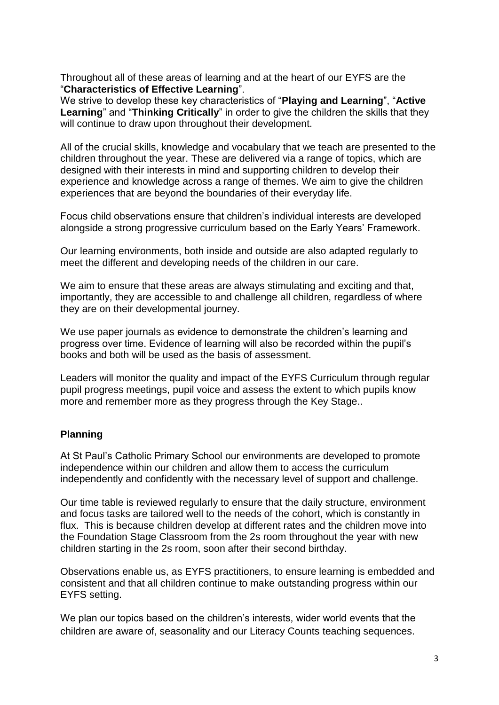Throughout all of these areas of learning and at the heart of our EYFS are the "**Characteristics of Effective Learning**".

We strive to develop these key characteristics of "**Playing and Learning**", "**Active Learning**" and "**Thinking Critically**" in order to give the children the skills that they will continue to draw upon throughout their development.

All of the crucial skills, knowledge and vocabulary that we teach are presented to the children throughout the year. These are delivered via a range of topics, which are designed with their interests in mind and supporting children to develop their experience and knowledge across a range of themes. We aim to give the children experiences that are beyond the boundaries of their everyday life.

Focus child observations ensure that children's individual interests are developed alongside a strong progressive curriculum based on the Early Years' Framework.

Our learning environments, both inside and outside are also adapted regularly to meet the different and developing needs of the children in our care.

We aim to ensure that these areas are always stimulating and exciting and that, importantly, they are accessible to and challenge all children, regardless of where they are on their developmental journey.

We use paper journals as evidence to demonstrate the children's learning and progress over time. Evidence of learning will also be recorded within the pupil's books and both will be used as the basis of assessment.

Leaders will monitor the quality and impact of the EYFS Curriculum through regular pupil progress meetings, pupil voice and assess the extent to which pupils know more and remember more as they progress through the Key Stage..

#### **Planning**

At St Paul's Catholic Primary School our environments are developed to promote independence within our children and allow them to access the curriculum independently and confidently with the necessary level of support and challenge.

Our time table is reviewed regularly to ensure that the daily structure, environment and focus tasks are tailored well to the needs of the cohort, which is constantly in flux. This is because children develop at different rates and the children move into the Foundation Stage Classroom from the 2s room throughout the year with new children starting in the 2s room, soon after their second birthday.

Observations enable us, as EYFS practitioners, to ensure learning is embedded and consistent and that all children continue to make outstanding progress within our EYFS setting.

We plan our topics based on the children's interests, wider world events that the children are aware of, seasonality and our Literacy Counts teaching sequences.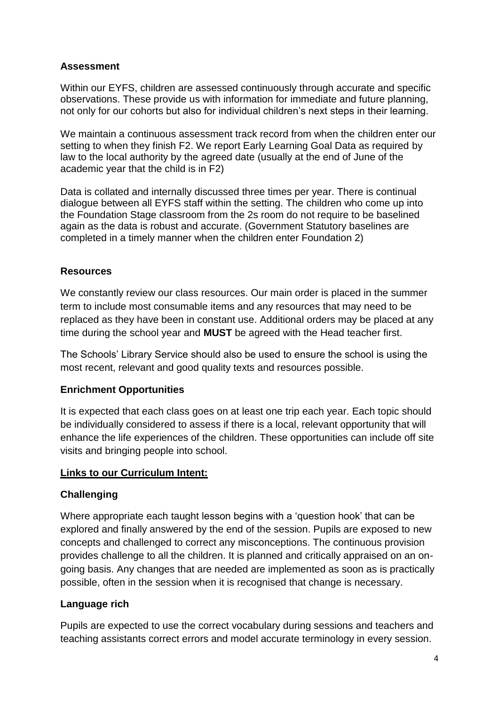### **Assessment**

Within our EYFS, children are assessed continuously through accurate and specific observations. These provide us with information for immediate and future planning, not only for our cohorts but also for individual children's next steps in their learning.

We maintain a continuous assessment track record from when the children enter our setting to when they finish F2. We report Early Learning Goal Data as required by law to the local authority by the agreed date (usually at the end of June of the academic year that the child is in F2)

Data is collated and internally discussed three times per year. There is continual dialogue between all EYFS staff within the setting. The children who come up into the Foundation Stage classroom from the 2s room do not require to be baselined again as the data is robust and accurate. (Government Statutory baselines are completed in a timely manner when the children enter Foundation 2)

### **Resources**

We constantly review our class resources. Our main order is placed in the summer term to include most consumable items and any resources that may need to be replaced as they have been in constant use. Additional orders may be placed at any time during the school year and **MUST** be agreed with the Head teacher first.

The Schools' Library Service should also be used to ensure the school is using the most recent, relevant and good quality texts and resources possible.

#### **Enrichment Opportunities**

It is expected that each class goes on at least one trip each year. Each topic should be individually considered to assess if there is a local, relevant opportunity that will enhance the life experiences of the children. These opportunities can include off site visits and bringing people into school.

#### **Links to our Curriculum Intent:**

#### **Challenging**

Where appropriate each taught lesson begins with a 'question hook' that can be explored and finally answered by the end of the session. Pupils are exposed to new concepts and challenged to correct any misconceptions. The continuous provision provides challenge to all the children. It is planned and critically appraised on an ongoing basis. Any changes that are needed are implemented as soon as is practically possible, often in the session when it is recognised that change is necessary.

#### **Language rich**

Pupils are expected to use the correct vocabulary during sessions and teachers and teaching assistants correct errors and model accurate terminology in every session.